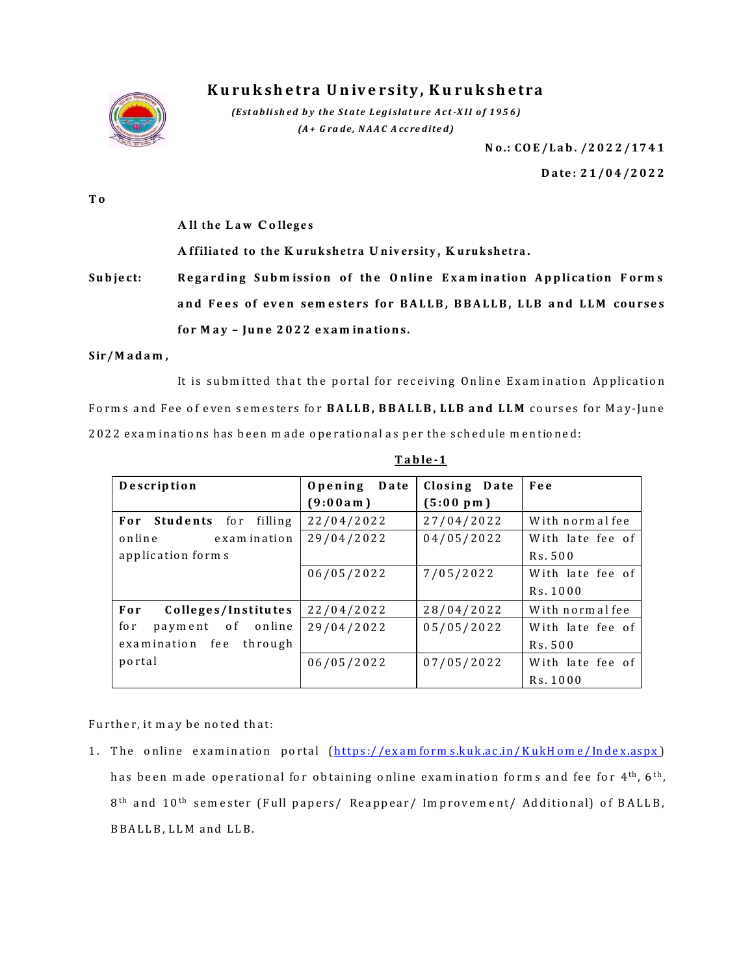

## **K u ru k s h e t ra U n iv e rs it y , K u ru k s h e t ra**

*(Est a blished by the State Legislature Act-XII of 1956) (A + G ra d e , N A A C A cc re d ite d )*

**N o .: C O E / L a b . / 2 0 2 2 /17 4 1**

**D a te : 2 1 /0 4 / 2 0 2 2**

**T o**

All the Law Colleges

A ffiliated to the Kurukshetra University, Kurukshetra.

Subject: Regarding Submission of the Online Examination Application Forms **a n d F e e s o f ev e n sem e ste rs f o r B A L L B , B B A L L B , LLB a n d L L M co u rse s f o r M a y – Ju n e 202 2 e x a m in a tio n s.**

**S ir/ M a d a m ,**

It is submitted that the portal for receiving Online Examination Application Forms and Fee of even semesters for **BALLB, BBALLB, LLB and LLM** courses for May-June 2022 examinations has been made operational as per the schedule mentioned:

| Description                    | Date<br>Opening | Closing Date       | Fee              |
|--------------------------------|-----------------|--------------------|------------------|
|                                | (9:00am)        | $(5:00~\text{pm})$ |                  |
| For Students for filling       | 22/04/2022      | 27/04/2022         | With normal fee  |
| online<br>examination          | 29/04/2022      | 04/05/2022         | With late fee of |
| application forms              |                 |                    | Rs.500           |
|                                | 06/05/2022      | 7/05/2022          | With late fee of |
|                                |                 |                    | Rs. 1000         |
| For<br>Colleges/Institutes     | 22/04/2022      | 28/04/2022         | With normal fee  |
| for<br>payment of online       | 29/04/2022      | 05/05/2022         | With late fee of |
| fe e<br>examination<br>through |                 |                    | Rs. 500          |
| portal                         | 06/05/2022      | 07/05/2022         | With late fee of |
|                                |                 |                    | Rs. 1000         |

**T a b le -1**

Further, it may be noted that:

1. The online examination portal (https://examforms.kuk.ac.in/KukHome/Index.aspx) has been made operational for obtaining online examination forms and fee for 4<sup>th</sup>, 6<sup>th</sup>, 8<sup>th</sup> and 10<sup>th</sup> semester (Full papers/ Reappear/ Improvement/ Additional) of BALLB, B B A L L B, L L M and L L B.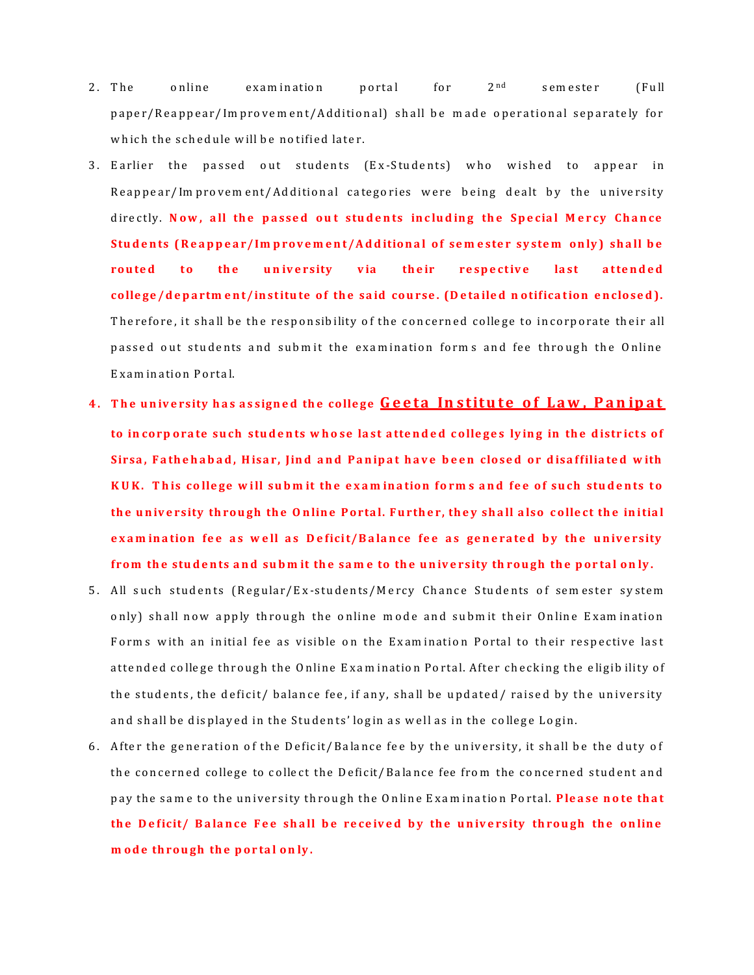- 2. The online examination portal for  $2^{nd}$  semester (Full paper/Reappear/Im provem ent/Additional) shall be made operational separately for which the schedule will be notified later.
- 3. Earlier the passed out students (Ex-Students) who wished to appear in Reappear/Im provem ent/Additional categories were being dealt by the university directly. Now, all the passed out students including the Special Mercy Chance Students (Reappear/Improvement/Additional of semester system only) shall be routed to the university via their respective last attended college/department/institute of the said course. (Detailed notification enclosed). Therefore, it shall be the responsibility of the concerned college to incorporate their all passed out students and submit the examination forms and fee through the Online E x a m in a tio n P o rta l.
- **4.** The university has assigned the college **Geeta Institute of Law, Panipat** to in corp orate such students whose last attended colleges lying in the districts of Sirsa, Fathehabad, Hisar, Jind and Panipat have been closed or disaffiliated with KUK. This college will submit the examination forms and fee of such students to the university through the Online Portal. Further, they shall also collect the initial exam ination fee as well as Deficit/Balance fee as generated by the university from the students and submit the same to the university through the portal only.
- 5. All such students (Regular/Ex-students/Mercy Chance Students of semester system only) shall now apply through the online mode and submit their Online Examination Forms with an initial fee as visible on the Examination Portal to their respective last attended college through the Online Examination Portal. After checking the eligibility of the students, the deficit/ balance fee, if any, shall be updated/ raised by the university and shall be displayed in the Students' login as well as in the college Login.
- 6. After the generation of the Deficit/Balance fee by the university, it shall be the duty of the concerned college to collect the Deficit/Balance fee from the concerned student and pay the same to the university through the Online Examination Portal. Please note that the Deficit/ Balance Fee shall be received by the university through the online **m ode through the portal only.**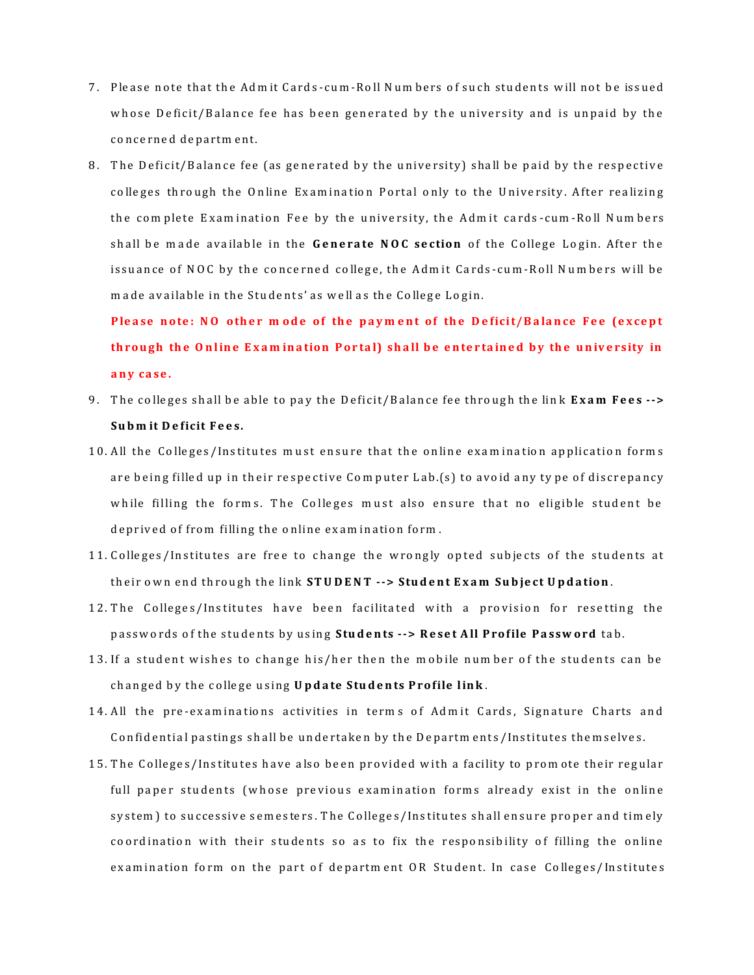- 7. Please note that the Admit Cards-cum-Roll Numbers of such students will not be issued whose Deficit/Balance fee has been generated by the university and is unpaid by the concerned department.
- 8. The Deficit/Balance fee (as generated by the university) shall be paid by the respective colleges through the Online Examination Portal only to the University. After realizing the complete Examination Fee by the university, the Admit cards-cum-Roll Numbers shall be made available in the **Generate NOC section** of the College Login. After the issuance of NOC by the concerned college, the Admit Cards-cum-Roll Numbers will be m ade available in the Students' as well as the College Login.

Please note: NO other mode of the payment of the Deficit/Balance Fee (except th rough the Online Exam ination Portal) shall be entertained by the university in **a n y ca se .** 

- 9. The colleges shall be able to pay the Deficit/Balance fee through the link **Exam Fees --> Subm it Deficit Fees.**
- 10. All the Colleges/Institutes must ensure that the online examination application forms are being filled up in their respective Computer Lab.(s) to avoid any type of discrepancy while filling the forms. The Colleges must also ensure that no eligible student be deprived of from filling the online examination form.
- 11. Colleges/Institutes are free to change the wrongly opted subjects of the students at their own end through the link **STUDENT --> Student Exam Subject Updation**.
- 12. The Colleges/Institutes have been facilitated with a provision for resetting the passwords of the students by using Students --> Reset All Profile Password tab.
- 13. If a student wishes to change his/her then the mobile number of the students can be changed by the college using **Update Students Profile link**.
- 14. All the pre-examinations activities in terms of Admit Cards, Signature Charts and Confidential pastings shall be undertaken by the Departments/Institutes themselves.
- 15. The Colleges/Institutes have also been provided with a facility to promote their regular full paper students (whose previous examination forms already exist in the online system) to successive semesters. The Colleges/Institutes shall ensure proper and timely coordination with their students so as to fix the responsibility of filling the online examination form on the part of department OR Student. In case Colleges/Institutes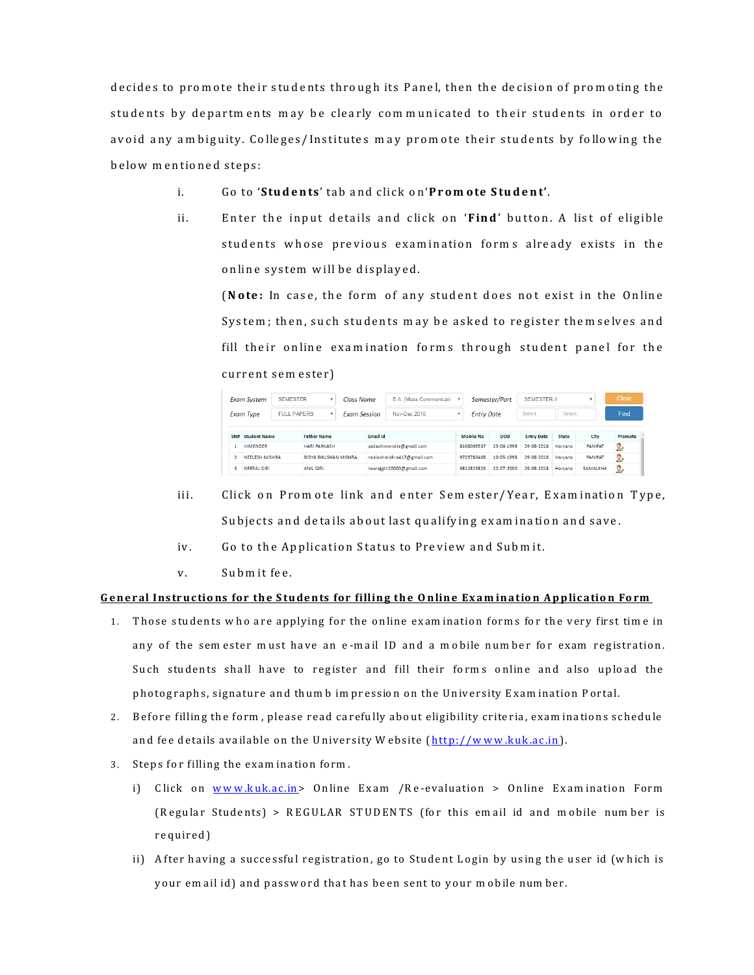decides to promote their students through its Panel, then the decision of promoting the students by departments may be clearly communicated to their students in order to avoid any am biguity. Colleges/Institutes may promote their students by following the below mentioned steps:

- i. G o to '**S tu d e n ts** ' ta b a n d c lic k o n '**P r o m o te S tu d e n t'**.
- ii. Enter the input details and click on '**Find'** button. A list of eligible students whose previous examination forms already exists in the online system will be displayed.

(**Note:** In case, the form of any student does not exist in the Online System; then, such students may be asked to register themselves and fill their online examination forms through student panel for the current sem ester)

| <b>Exam System</b> |                                             | <b>SEMESTER</b>             | ٠                         | Class Name                 |                         | B.A. (Mass Communicati- |            |                   | Semester/Part | <b>SEMESTER-1</b> |                |                | Clear   |  |
|--------------------|---------------------------------------------|-----------------------------|---------------------------|----------------------------|-------------------------|-------------------------|------------|-------------------|---------------|-------------------|----------------|----------------|---------|--|
|                    | Exam Type                                   | <b>FULL PAPERS</b>          |                           | <b>Exam Session</b>        |                         | Nov-Dec 2018            |            | <b>Entry Date</b> |               | Select.           | Select         |                | Find    |  |
| SN#                | <b>Student Name</b>                         |                             | <b>Father Name</b>        |                            | <b>Email Id</b>         |                         |            | <b>Mobile No</b>  | <b>DOB</b>    | <b>Entry Date</b> | <b>State</b>   | City           | Promote |  |
|                    | <b>HIMENDER</b>                             |                             | <b>HARI PARKASH</b>       |                            | vadavhimender@gmail.com |                         |            | 8168009537        | 25-06-1998    | 29-08-2018        | Harvana        | <b>PANIPAT</b> | Q,      |  |
|                    | <b>NEELESH MISHRA</b>                       | <b>BIDYA BHUSHAN MISHRA</b> |                           | neeleshmishra417@gmail.com |                         |                         | 9729783408 | 10-05-1998        | 29-08-2018    | Haryana           | <b>PANIPAT</b> | 2              |         |  |
|                    | з<br><b>NEERAJ GIRI</b><br><b>ANIL GIRL</b> |                             | neerajgiri20000@gmail.com |                            |                         | 9812823829              | 22-07-2000 | 29-08-2018        | Harvana       | <b>SAMALKHA</b>   | Ω              |                |         |  |

- iii. Click on Promote link and enter Semester/Year, Examination Type, Subjects and details about last qualifying examination and save.
- iv. Go to the Application Status to Preview and Submit.
- v. Submit fee.

## General Instructions for the Students for filling the Online Examination Application Form

- 1. Those students who are applying for the online exam ination forms for the very first time in any of the sem ester must have an e-mail ID and a mobile number for exam registration. Such students shall have to register and fill their forms online and also upload the photographs, signature and thum b im pression on the University Exam ination Portal.
- 2. Before filling the form, please read carefully about eligibility criteria, examinations schedule and fee details available on the University Website (http://www.kuk.ac.in).
- 3. Steps for filling the examination form.
	- i) Click on www.kuk.ac.in> Online Exam /Re-evaluation > Online Examination Form (Regular Students) > REGULAR STUDENTS (for this em ail id and mobile number is required)
	- ii) After having a successful registration, go to Student Login by using the user id (which is your em ail id) and password that has been sent to your mobile number.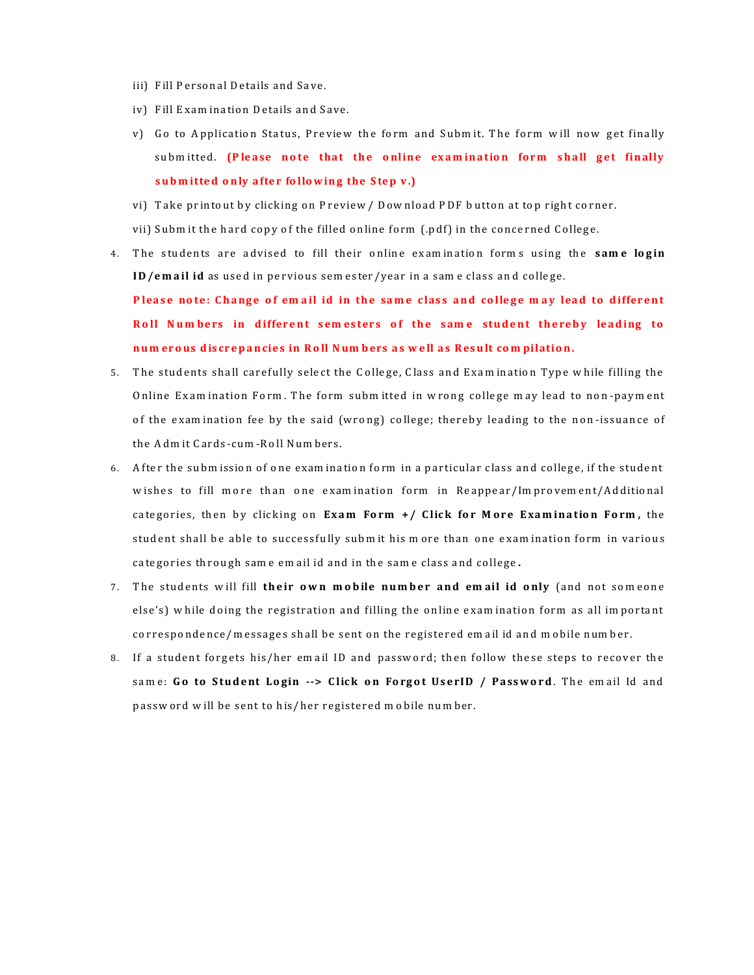- iii) Fill Personal Details and Save.
- iv) Fill Exam ination Details and Save.
- v) Go to Application Status, Preview the form and Submit. The form will now get finally submitted. (Please note that the online examination form shall get finally **s u b m itte d o n ly a fte r fo llo w in g the S te p v .)**
- vi) Take printout by clicking on Preview / Download PDF button at top right corner.
- vii) Subm it the hard copy of the filled online form (.pdf) in the concerned College.
- 4. The students are advised to fill their online examination forms using the **same login ID/email id** as used in pervious sem ester/year in a same class and college.

P lease note: Change of email id in the same class and college may lead to different Roll Numbers in different semesters of the same student thereby leading to **n u m er o us d is cr e p a n cie s in R o ll N um b ers a s w e ll a s R es u lt co m pilatio n .**

- 5. The students shall carefully select the College, Class and Examination Type while filling the Online Exam ination Form. The form submitted in wrong college may lead to non-payment of the examination fee by the said (wrong) college; thereby leading to the non-issuance of the Adm it Cards-cum -Roll Numbers.
- 6. After the subm ission of one examination form in a particular class and college, if the student w ishes to fill more than one examination form in Reappear/Improvement/Additional categories, then by clicking on **Exam Form +/ Click for More Examination Form**, the student shall be able to successfully submit his more than one examination form in various categories through same em ail id and in the same class and college.
- 7. The students will fill their own mobile number and email id only (and not someone else's) while doing the registration and filling the online examination form as all important correspondence/messages shall be sent on the registered em ail id and mobile number.
- 8. If a student forgets his/her em ail ID and password; then follow these steps to recover the same: Go to Student Login --> Click on Forgot UserID / Password. The email Id and passw ord will be sent to his/her registered mobile number.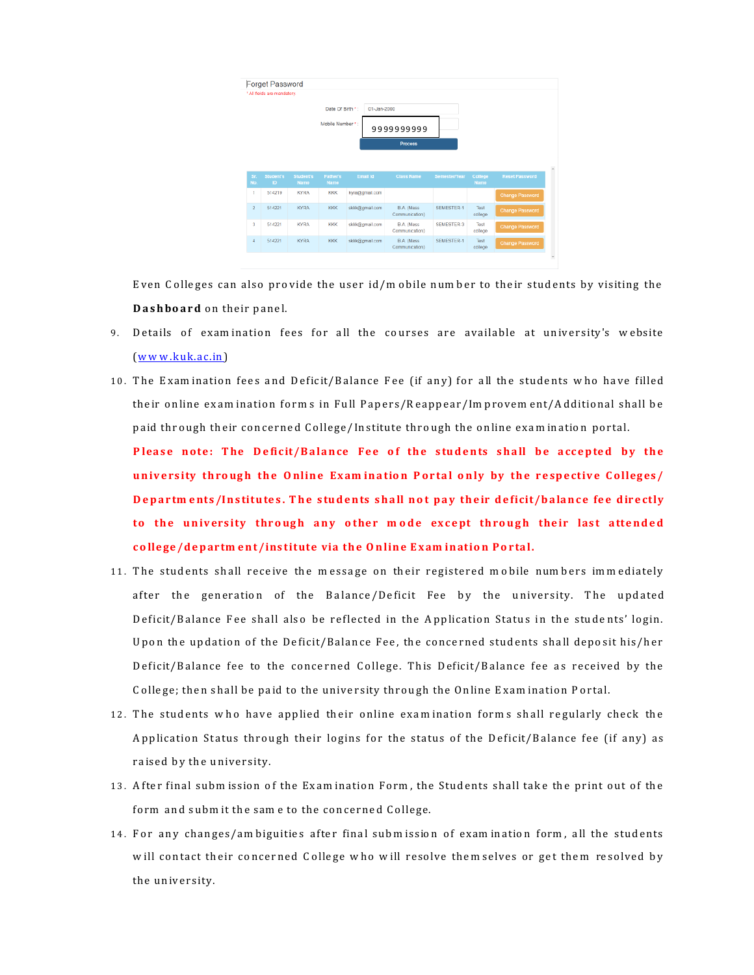|                | <b>Forget Password</b>      |                          |                         |                |                                     |                   |                 |                        |
|----------------|-----------------------------|--------------------------|-------------------------|----------------|-------------------------------------|-------------------|-----------------|------------------------|
|                | * All fields are mandatory. |                          |                         |                |                                     |                   |                 |                        |
|                |                             |                          | Date Of Birth *:        | 01-Jan-2000    |                                     |                   |                 |                        |
|                |                             |                          | Mobile Number *:        |                | 9999999999                          |                   |                 |                        |
|                |                             |                          |                         |                | Process                             |                   |                 |                        |
|                |                             |                          |                         |                |                                     |                   |                 |                        |
|                |                             |                          |                         |                |                                     |                   |                 |                        |
|                |                             |                          |                         |                |                                     |                   |                 |                        |
| Sr.<br>No.     | <b>Student's</b><br>ID      | <b>Student's</b><br>Name | Father's<br><b>Name</b> | Email Id       | <b>Class Name</b>                   | Semester/Year     | College<br>Name | <b>Reset Password</b>  |
| 1              | 514219                      | <b>KYRA</b>              | KKK                     | kyra@gmail.com |                                     |                   |                 | <b>Change Password</b> |
| $\overline{2}$ | 514221                      | <b>KYRA</b>              | <b>KKK</b>              | skkk@gmail.com | <b>B.A.</b> (Mass<br>Communication) | SEMESTER-1        | Test<br>college | <b>Change Password</b> |
| 3              | 514221                      | <b>KYRA</b>              | <b>KKK</b>              | skkk@gmail.com | <b>B.A.</b> (Mass<br>Communication) | <b>SEMESTER-3</b> | Test<br>college | Change Password        |

Even Colleges can also provide the user  $id/m$  obile number to their students by visiting the **Dashboard** on their panel.

- 9. Details of examination fees for all the courses are available at university's website  $(w w w.ku k.ac.in)$
- 10. The Examination fees and Deficit/Balance Fee (if any) for all the students who have filled their online exam ination forms in Full Papers/Reappear/Improvement/Additional shall be paid through their concerned College/Institute through the online examination portal.

Please note: The Deficit/Balance Fee of the students shall be accepted by the university through the Online Examination Portal only by the respective Colleges/ **Departments/Institutes. The students shall not pay their deficit/balance fee directly** to the university through any other mode except through their last attended college/department/institute via the Online Exam ination Portal.

- 11. The students shall receive the message on their registered mobile numbers immediately after the generation of the Balance/Deficit Fee by the university. The updated Deficit/Balance Fee shall also be reflected in the Application Status in the students' login. Upon the updation of the Deficit/Balance Fee, the concerned students shall deposit his/her Deficit/Balance fee to the concerned College. This Deficit/Balance fee as received by the College; then shall be paid to the university through the Online Examination Portal.
- 12. The students who have applied their online examination forms shall regularly check the Application Status through their logins for the status of the Deficit/Balance fee (if any) as raised by the university.
- 13. After final subm ission of the Exam ination Form, the Students shall take the print out of the form and submit the same to the concerned College.
- 14. For any changes/am biguities after final subm ission of exam ination form, all the students w ill contact their concerned College who will resolve them selves or get them resolved by the university.